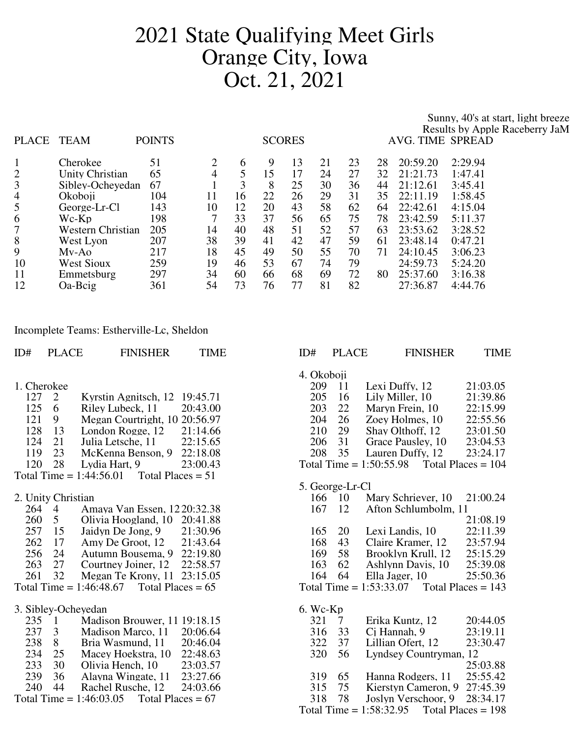## 2021 State Qualifying Meet Girls Orange City, Iowa Oct. 21, 2021

Sunny, 40's at start, light breeze

|                |                          |               |    |    |    |               |    |    |    |                  | Results by Apple Raceberry JaM |
|----------------|--------------------------|---------------|----|----|----|---------------|----|----|----|------------------|--------------------------------|
| PLACE          | TEAM                     | <b>POINTS</b> |    |    |    | <b>SCORES</b> |    |    |    | AVG. TIME SPREAD |                                |
|                |                          |               |    |    |    |               |    |    |    |                  |                                |
| $\mathbf{1}$   | Cherokee                 | 51            | 2  | 6  | 9  | 13            | 21 | 23 | 28 | 20:59.20         | 2:29.94                        |
| $\overline{2}$ | Unity Christian          | 65            | 4  |    | 15 | 17            | 24 | 27 | 32 | 21:21.73         | 1:47.41                        |
| 3              | Sibley-Ocheyedan         | 67            |    | 3  | 8  | 25            | 30 | 36 | 44 | 21:12.61         | 3:45.41                        |
| $\overline{4}$ | Okoboji                  | 104           | 11 | 16 | 22 | 26            | 29 | 31 | 35 | 22:11.19         | 1:58.45                        |
| 5              | George-Lr-Cl             | 143           | 10 | 12 | 20 | 43            | 58 | 62 | 64 | 22:42.61         | 4:15.04                        |
| 6              | Wc-Kp                    | 198           |    | 33 | 37 | 56            | 65 | 75 | 78 | 23:42.59         | 5:11.37                        |
| 7              | <b>Western Christian</b> | 205           | 14 | 40 | 48 | 51            | 52 | 57 | 63 | 23:53.62         | 3:28.52                        |
| 8              | West Lyon                | 207           | 38 | 39 | 41 | 42            | 47 | 59 | 61 | 23:48.14         | 0:47.21                        |
| 9              | Mv-Ao                    | 217           | 18 | 45 | 49 | 50            | 55 | 70 | 71 | 24:10.45         | 3:06.23                        |
| 10             | <b>West Sioux</b>        | 259           | 19 | 46 | 53 | 67            | 74 | 79 |    | 24:59.73         | 5:24.20                        |
| 11             | Emmetsburg               | 297           | 34 | 60 | 66 | 68            | 69 | 72 | 80 | 25:37.60         | 3:16.38                        |
| 12             | Oa-Beig                  | 361           | 54 | 73 | 76 | 77            | 81 | 82 |    | 27:36.87         | 4:44.76                        |

Incomplete Teams: Estherville-Lc, Sheldon

| ID# | <b>PLACE</b>        | <b>FINISHER</b>                                  | <b>TIME</b> | ID#               | <b>PLACE</b>    | <b>FINISHER</b>                   | <b>TIME</b>          |
|-----|---------------------|--------------------------------------------------|-------------|-------------------|-----------------|-----------------------------------|----------------------|
|     |                     |                                                  |             | 4. Okoboji        |                 |                                   |                      |
|     | 1. Cherokee         |                                                  |             | 209               | 11              | Lexi Duffy, 12                    | 21:03.05             |
| 127 | 2                   | Kyrstin Agnitsch, 12 19:45.71                    |             | 205               | 16              | Lily Miller, 10                   | 21:39.86             |
| 125 | 6                   | Riley Lubeck, 11                                 | 20:43.00    | 203               | 22              | Maryn Frein, 10                   | 22:15.99             |
| 121 | 9                   | Megan Courtright, 10 20:56.97                    |             | 204               | 26              | Zoey Holmes, 10                   | 22:55.56             |
| 128 | 13                  | London Rogge, 12                                 | 21:14.66    | 210               | 29              | Shay Olthoff, 12                  | 23:01.50             |
| 124 | 21                  | Julia Letsche, 11                                | 22:15.65    | 206               | 31              | Grace Pausley, 10                 | 23:04.53             |
| 119 | 23                  | McKenna Benson, 9                                | 22:18.08    | 208               | 35              | Lauren Duffy, 12                  | 23:24.17             |
| 120 | 28                  | Lydia Hart, 9                                    | 23:00.43    |                   |                 | Total Time = $1:50:55.98$         | Total Places = $104$ |
|     |                     | Total Places = $51$<br>Total Time = $1:44:56.01$ |             |                   |                 |                                   |                      |
|     |                     |                                                  |             |                   | 5. George-Lr-Cl |                                   |                      |
|     | 2. Unity Christian  |                                                  |             | 166               | 10              | Mary Schriever, 10                | 21:00.24             |
|     | 264 4               | Amaya Van Essen, 1220:32.38                      |             | 167               | 12              | Afton Schlumbolm, 11              |                      |
| 260 | $5\overline{)}$     | Olivia Hoogland, 10 20:41.88                     |             |                   |                 |                                   | 21:08.19             |
| 257 | 15                  | Jaidyn De Jong, 9                                | 21:30.96    | 165               | 20              | Lexi Landis, 10                   | 22:11.39             |
| 262 | 17                  | Amy De Groot, 12                                 | 21:43.64    | 168               | 43              | Claire Kramer, 12                 | 23:57.94             |
| 256 | 24                  | Autumn Bousema, 9 22:19.80                       |             | 169               | 58              | Brooklyn Krull, 12                | 25:15.29             |
| 263 | 27                  | Courtney Joiner, 12                              | 22:58.57    | 163               | 62              | Ashlynn Davis, 10                 | 25:39.08             |
| 261 | 32                  | Megan Te Krony, 11 23:15.05                      |             | 164               | 64              | Ella Jager, 10                    | 25:50.36             |
|     |                     | Total Time = $1:46:48.67$<br>Total Places = $65$ |             |                   |                 | Total Time = $1:53:33.07$         | Total Places = $143$ |
|     |                     |                                                  |             |                   |                 |                                   |                      |
| 235 |                     | 3. Sibley-Ocheyedan                              |             | $6.$ Wc-Kp<br>321 |                 |                                   |                      |
| 237 | $\overline{1}$      | Madison Brouwer, 11 19:18.15                     | 20:06.64    | 316               | $\tau$<br>33    | Erika Kuntz, 12                   | 20:44.05<br>23:19.11 |
| 238 | $\mathfrak{Z}$<br>8 | Madison Marco, 11                                | 20:46.04    | 322               | 37              | Ci Hannah, 9<br>Lillian Ofert, 12 | 23:30.47             |
| 234 | 25                  | Bria Wasmund, 11                                 | 22:48.63    | 320               | 56              |                                   |                      |
| 233 | 30                  | Macey Hoekstra, 10<br>Olivia Hench, 10           | 23:03.57    |                   |                 | Lyndsey Countryman, 12            | 25:03.88             |
| 239 | 36                  | Alayna Wingate, 11                               | 23:27.66    | 319               | 65              | Hanna Rodgers, 11                 | 25:55.42             |
| 240 | 44                  | Rachel Rusche, 12                                | 24:03.66    | 315               | 75              | Kierstyn Cameron, 9               | 27:45.39             |
|     |                     | Total Time = $1:46:03.05$<br>Total Places = $67$ |             | 318               | 78              | Joslyn Verschoor, 9               | 28:34.17             |
|     |                     |                                                  |             |                   |                 | Total Time = $1:58:32.95$         | Total Places $= 198$ |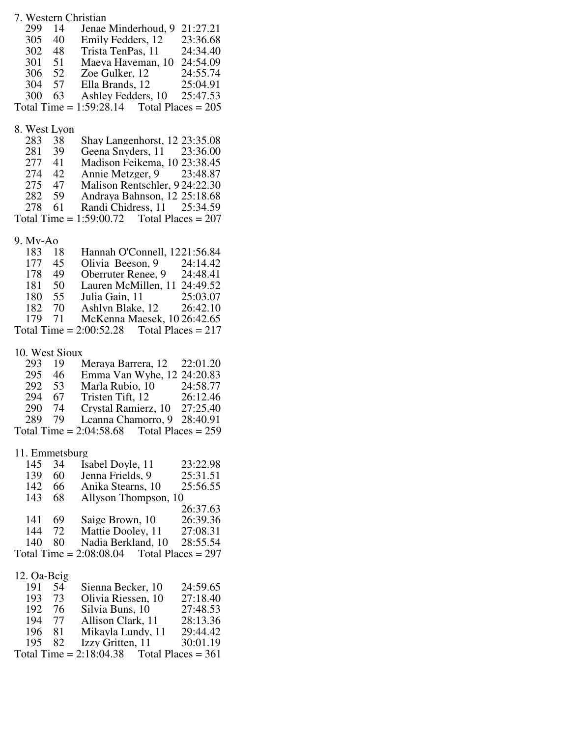| 7. Western Christian |                |                                                                                       |                      |  |  |  |  |
|----------------------|----------------|---------------------------------------------------------------------------------------|----------------------|--|--|--|--|
| 299                  | 14             | Jenae Minderhoud, 9 21:27.21                                                          |                      |  |  |  |  |
|                      | 305 40         | Emily Fedders, 12 23:36.68                                                            |                      |  |  |  |  |
|                      | 302 48         | Trista TenPas, 11 24:34.40                                                            |                      |  |  |  |  |
|                      | $301 \quad 51$ | Maeva Haveman, 10 24:54.09                                                            |                      |  |  |  |  |
|                      |                |                                                                                       |                      |  |  |  |  |
|                      |                | 306 52 Zoe Gulker, 12 24:55.74<br>304 57 Ella Brands, 12 25:04.91                     |                      |  |  |  |  |
| 300                  | 63             | Ashley Fedders, 10 25:47.53                                                           |                      |  |  |  |  |
|                      |                | Total Time = $1:59:28.14$ Total Places = $205$                                        |                      |  |  |  |  |
|                      |                |                                                                                       |                      |  |  |  |  |
| 8. West Lyon         |                |                                                                                       |                      |  |  |  |  |
| 283                  | 38             | Shay Langenhorst, 12 23:35.08                                                         |                      |  |  |  |  |
|                      |                | Geena Snyders, 11 23:36.00                                                            |                      |  |  |  |  |
| 281 39               |                |                                                                                       |                      |  |  |  |  |
| 277 41               |                | Madison Feikema, 10 23:38.45                                                          |                      |  |  |  |  |
| 274 42               |                | Annie Metzger, 9 23:48.87                                                             |                      |  |  |  |  |
| 275 47               |                | Malison Rentschler, 924:22.30                                                         |                      |  |  |  |  |
| 282 59               |                | Andraya Bahnson, 12 25:18.68                                                          |                      |  |  |  |  |
| 278                  | 61             | Randi Chidress, 11 25:34.59                                                           |                      |  |  |  |  |
|                      |                | Total Time = $1:59:00.72$ Total Places = $207$                                        |                      |  |  |  |  |
|                      |                |                                                                                       |                      |  |  |  |  |
| 9. Mv-Ao             |                |                                                                                       |                      |  |  |  |  |
| 183 18               |                | Hannah O'Connell, 1221:56.84                                                          |                      |  |  |  |  |
| 177                  | 45             | Olivia Beeson, 9 24:14.42                                                             |                      |  |  |  |  |
| 178 49               |                | Oberruter Renee, 9 24:48.41                                                           |                      |  |  |  |  |
| 181 50               |                | Lauren McMillen, 11 24:49.52                                                          |                      |  |  |  |  |
| 180 55               |                | Julia Gain, 11 25:03.07                                                               |                      |  |  |  |  |
| 182 70               |                | Ashlyn Blake, 12 26:42.10                                                             |                      |  |  |  |  |
| 179 71               |                | McKenna Maesek, 10 26:42.65                                                           |                      |  |  |  |  |
|                      |                | Total Time = $2:00:52.28$ Total Places = $217$                                        |                      |  |  |  |  |
|                      |                |                                                                                       |                      |  |  |  |  |
|                      |                |                                                                                       |                      |  |  |  |  |
|                      |                |                                                                                       |                      |  |  |  |  |
| 10. West Sioux       |                |                                                                                       |                      |  |  |  |  |
| 293 19               |                | Meraya Barrera, 12 22:01.20                                                           |                      |  |  |  |  |
| 295 46               |                | Emma Van Wyhe, 12 24:20.83                                                            |                      |  |  |  |  |
|                      | 292 53         |                                                                                       |                      |  |  |  |  |
| 294 67               |                |                                                                                       |                      |  |  |  |  |
| 290 74               |                | Marla Rubio, 10 24:58.77<br>Tristen Tift, 12 26:12.46<br>Crystal Ramierz, 10 27:25.40 |                      |  |  |  |  |
| 289 79               |                | Lcanna Chamorro, 9 28:40.91                                                           |                      |  |  |  |  |
|                      |                | Total Time = $2:04:58.68$ Total Places = $259$                                        |                      |  |  |  |  |
|                      |                |                                                                                       |                      |  |  |  |  |
| 11. Emmetsburg       |                |                                                                                       |                      |  |  |  |  |
| 145                  | 34             | Isabel Doyle, 11                                                                      | 23:22.98             |  |  |  |  |
|                      | 60             | Jenna Frields, 9                                                                      | 25:31.51             |  |  |  |  |
| 139<br>142           | 66             |                                                                                       | 25:56.55             |  |  |  |  |
|                      |                | Anika Stearns, 10                                                                     |                      |  |  |  |  |
| 143                  | 68             | Allyson Thompson, 10                                                                  |                      |  |  |  |  |
|                      |                |                                                                                       | 26:37.63             |  |  |  |  |
| 141                  | 69             | Saige Brown, 10                                                                       | 26:39.36             |  |  |  |  |
| 144                  | 72             | Mattie Dooley, 11                                                                     | 27:08.31             |  |  |  |  |
| 140                  | 80             | Nadia Berkland, 10                                                                    | 28:55.54             |  |  |  |  |
|                      |                | Total Time = $2:08:08.04$                                                             | Total Places $= 297$ |  |  |  |  |
|                      |                |                                                                                       |                      |  |  |  |  |
| 12. Oa-Beig          |                |                                                                                       |                      |  |  |  |  |
| 191                  | 54             | Sienna Becker, 10                                                                     | 24:59.65             |  |  |  |  |
| 193 73               |                | Olivia Riessen, 10                                                                    | 27:18.40             |  |  |  |  |
| 192 76               |                | Silvia Buns, 10                                                                       | 27:48.53             |  |  |  |  |
| 194 77               |                | Allison Clark, 11                                                                     | 28:13.36             |  |  |  |  |
| 196                  | 81             | Mikayla Lundy, 11                                                                     | 29:44.42             |  |  |  |  |
| 195                  | 82             | Izzy Gritten, 11                                                                      | 30:01.19             |  |  |  |  |
|                      |                | Total Time = $2:18:04.38$                                                             | Total Places = $361$ |  |  |  |  |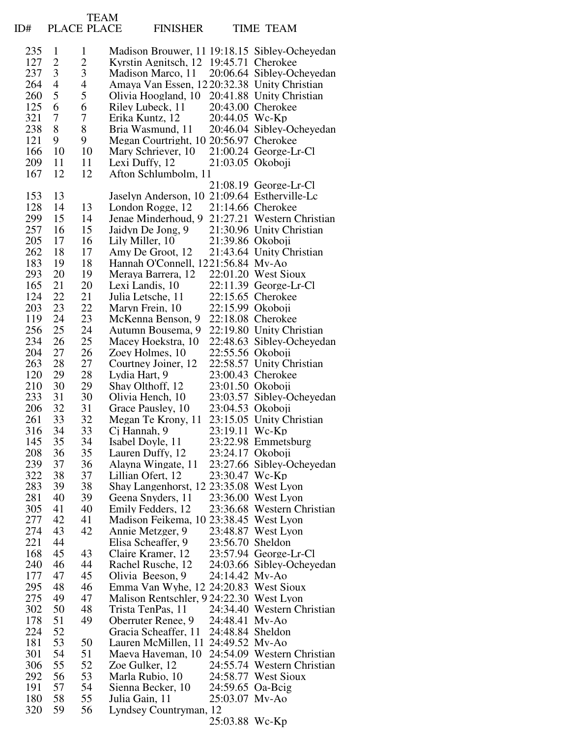| ID#        | PLACE PLACE         | <b>TEAM</b>      |                    | <b>FINISHER</b>                                            |                                    | <b>TIME TEAM</b>                               |
|------------|---------------------|------------------|--------------------|------------------------------------------------------------|------------------------------------|------------------------------------------------|
|            |                     |                  |                    |                                                            |                                    |                                                |
| 235        | $\mathbf{1}$        | $\mathbf{1}$     |                    |                                                            |                                    | Madison Brouwer, 11 19:18.15 Sibley-Ocheyedan  |
| 127<br>237 | $\overline{c}$<br>3 | $\frac{2}{3}$    |                    | Kyrstin Agnitsch, 12 19:45.71 Cherokee                     |                                    | Madison Marco, 11 20:06.64 Sibley-Ocheyedan    |
| 264        | $\overline{4}$      | $\overline{4}$   |                    |                                                            |                                    | Amaya Van Essen, 1220:32.38 Unity Christian    |
| 260        | 5                   | 5                |                    |                                                            |                                    | Olivia Hoogland, 10 20:41.88 Unity Christian   |
| 125        | 6                   | 6                |                    | Riley Lubeck, 11 20:43.00 Cherokee                         |                                    |                                                |
| 321        | $\overline{7}$      | $\boldsymbol{7}$ |                    | Erika Kuntz, 12 20:44.05 Wc-Kp                             |                                    |                                                |
| 238        | 8                   | 8                |                    |                                                            |                                    | Bria Wasmund, 11 20:46.04 Sibley-Ocheyedan     |
| 121<br>166 | 9<br>10             | 9<br>10          |                    | Megan Courtright, 10 20:56.97 Cherokee                     |                                    | Mary Schriever, 10 21:00.24 George-Lr-Cl       |
| 209        | 11                  | 11               |                    | Lexi Duffy, $12$ 21:03.05 Okoboji                          |                                    |                                                |
| 167        | 12                  | 12               |                    | Afton Schlumbolm, 11                                       |                                    |                                                |
|            |                     |                  |                    |                                                            |                                    | $21:08.19$ George-Lr-Cl                        |
| 153        | 13                  |                  |                    |                                                            |                                    | Jaselyn Anderson, 10 21:09.64 Estherville-Lc   |
| 128        | 14                  | 13               |                    | London Rogge, 12                                           |                                    | 21:14.66 Cherokee                              |
| 299        | 15                  | 14               |                    |                                                            |                                    | Jenae Minderhoud, 9 21:27.21 Western Christian |
| 257<br>205 | 16<br>17            | 15<br>16         | Lily Miller, 10    |                                                            | 21:39.86 Okoboji                   | Jaidyn De Jong, 9 21:30.96 Unity Christian     |
| 262        | 18                  | 17               |                    | Amy De Groot, 12                                           |                                    | 21:43.64 Unity Christian                       |
| 183        | 19                  | 18               |                    | Hannah O'Connell, 1221:56.84 Mv-Ao                         |                                    |                                                |
| 293        | 20                  | 19               |                    | Meraya Barrera, 12                                         |                                    | 22:01.20 West Sioux                            |
| 165        | 21                  | 20               | Lexi Landis, 10    |                                                            |                                    | $22:11.39$ George-Lr-Cl                        |
| 124        | 22                  | 21               | Julia Letsche, 11  |                                                            |                                    | 22:15.65 Cherokee                              |
| 203<br>119 | 23<br>24            | 22               | Maryn Frein, 10    | McKenna Benson, 9                                          | 22:15.99 Okoboji                   | 22:18.08 Cherokee                              |
| 256        | 25                  | 23<br>24         |                    | Autumn Bousema, 9                                          |                                    | 22:19.80 Unity Christian                       |
| 234        | 26                  | 25               |                    | Macey Hoekstra, 10                                         |                                    | 22:48.63 Sibley-Ocheyedan                      |
| 204        | 27                  | 26               | Zoey Holmes, 10    |                                                            | 22:55.56 Okoboji                   |                                                |
| 263        | 28                  | 27               |                    | Courtney Joiner, 12                                        |                                    | 22:58.57 Unity Christian                       |
| 120        | 29                  | 28               | Lydia Hart, 9      |                                                            |                                    | 23:00.43 Cherokee                              |
| 210<br>233 | 30<br>31            | 29<br>30         | Shay Olthoff, 12   | Olivia Hench, 10                                           | 23:01.50 Okoboji                   |                                                |
| 206        | 32                  | 31               |                    | Grace Pausley, 10 23:04.53 Okoboji                         |                                    | 23:03.57 Sibley-Ocheyedan                      |
| 261        | 33                  | 32               |                    | Megan Te Krony, 11                                         |                                    | 23:15.05 Unity Christian                       |
| 316        | 34                  | 33               | Cj Hannah, 9       |                                                            | 23:19.11 Wc-Kp                     |                                                |
| 145        | 35                  | 34               | Isabel Doyle, 11   |                                                            |                                    | 23:22.98 Emmetsburg                            |
| 208        | 36                  | 35               | Lauren Duffy, 12   |                                                            | 23:24.17 Okoboji                   |                                                |
| 239<br>322 | 37<br>38            | 36<br>37         | Lillian Ofert, 12  | Alayna Wingate, 11                                         | 23:30.47 Wc-Kp                     | 23:27.66 Sibley-Ocheyedan                      |
| 283        | 39                  | 38               |                    | Shay Langenhorst, 12 23:35.08 West Lyon                    |                                    |                                                |
| 281        | 40                  | 39               |                    | Geena Snyders, 11                                          |                                    | 23:36.00 West Lyon                             |
| 305        | 41                  | 40               |                    | Emily Fedders, 12                                          |                                    | 23:36.68 Western Christian                     |
| 277        | 42                  | 41               |                    | Madison Feikema, 10 23:38.45 West Lyon                     |                                    |                                                |
| 274        | 43                  | 42               | Annie Metzger, 9   |                                                            |                                    | 23:48.87 West Lyon                             |
| 221<br>168 | 44<br>45            | 43               | Elisa Scheaffer, 9 | Claire Kramer, 12                                          | 23:56.70 Sheldon                   | 23:57.94 George-Lr-Cl                          |
| 240        | 46                  | 44               |                    | Rachel Rusche, 12                                          |                                    | 24:03.66 Sibley-Ocheyedan                      |
| 177        | 47                  | 45               | Olivia Beeson, 9   |                                                            | 24:14.42 Mv-Ao                     |                                                |
| 295        | 48                  | 46               |                    | Emma Van Wyhe, 12 24:20.83 West Sioux                      |                                    |                                                |
| 275        | 49                  | 47               |                    | Malison Rentschler, 9 24:22.30 West Lyon                   |                                    |                                                |
| 302        | 50                  | 48               | Trista TenPas, 11  |                                                            |                                    | 24:34.40 Western Christian                     |
| 178<br>224 | 51<br>52            | 49               |                    | Oberruter Renee, 9                                         | 24:48.41 Mv-Ao<br>24:48.84 Sheldon |                                                |
| 181        | 53                  | 50               |                    | Gracia Scheaffer, 11<br>Lauren McMillen, 11 24:49.52 Mv-Ao |                                    |                                                |
| 301        | 54                  | 51               |                    |                                                            |                                    | Maeva Haveman, 10 24:54.09 Western Christian   |
| 306        | 55                  | 52               | Zoe Gulker, 12     |                                                            |                                    | 24:55.74 Western Christian                     |
| 292        | 56                  | 53               | Marla Rubio, 10    |                                                            |                                    | 24:58.77 West Sioux                            |
| 191        | 57                  | 54               |                    | Sienna Becker, $10\qquad 24:59.65$ Oa-Beig                 |                                    |                                                |
| 180        | 58<br>59            | 55<br>56         | Julia Gain, 11     |                                                            | 25:03.07 Mv-Ao                     |                                                |
| 320        |                     |                  |                    | Lyndsey Countryman, 12                                     | 25:03.88 Wc-Kp                     |                                                |
|            |                     |                  |                    |                                                            |                                    |                                                |